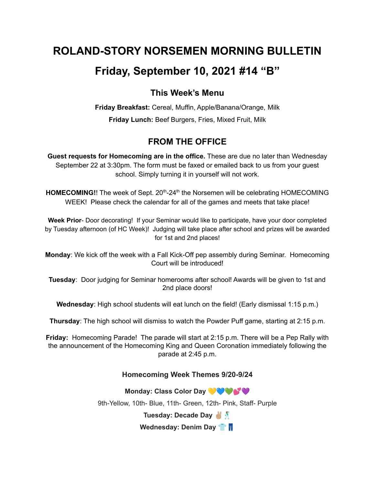# **ROLAND-STORY NORSEMEN MORNING BULLETIN**

# **Friday, September 10, 2021 #14 "B"**

## **This Week's Menu**

**Friday Breakfast:** Cereal, Muffin, Apple/Banana/Orange, Milk **Friday Lunch:** Beef Burgers, Fries, Mixed Fruit, Milk

## **FROM THE OFFICE**

**Guest requests for Homecoming are in the office.** These are due no later than Wednesday September 22 at 3:30pm. The form must be faxed or emailed back to us from your guest school. Simply turning it in yourself will not work.

HOMECOMING!! The week of Sept. 20<sup>th</sup>-24<sup>th</sup> the Norsemen will be celebrating HOMECOMING WEEK! Please check the calendar for all of the games and meets that take place!

**Week Prior**- Door decorating! If your Seminar would like to participate, have your door completed by Tuesday afternoon (of HC Week)! Judging will take place after school and prizes will be awarded for 1st and 2nd places!

**Monday**: We kick off the week with a Fall Kick-Off pep assembly during Seminar. Homecoming Court will be introduced!

**Tuesday**: Door judging for Seminar homerooms after school! Awards will be given to 1st and 2nd place doors!

**Wednesday**: High school students will eat lunch on the field! (Early dismissal 1:15 p.m.)

**Thursday**: The high school will dismiss to watch the Powder Puff game, starting at 2:15 p.m.

**Friday:** Homecoming Parade! The parade will start at 2:15 p.m. There will be a Pep Rally with the announcement of the Homecoming King and Queen Coronation immediately following the parade at 2:45 p.m.

### **Homecoming Week Themes 9/20-9/24**

**Monday: Class Color Day**

9th-Yellow, 10th- Blue, 11th- Green, 12th- Pink, Staff- Purple

**Tuesday: Decade Day**

**Wednesday: Denim Day**